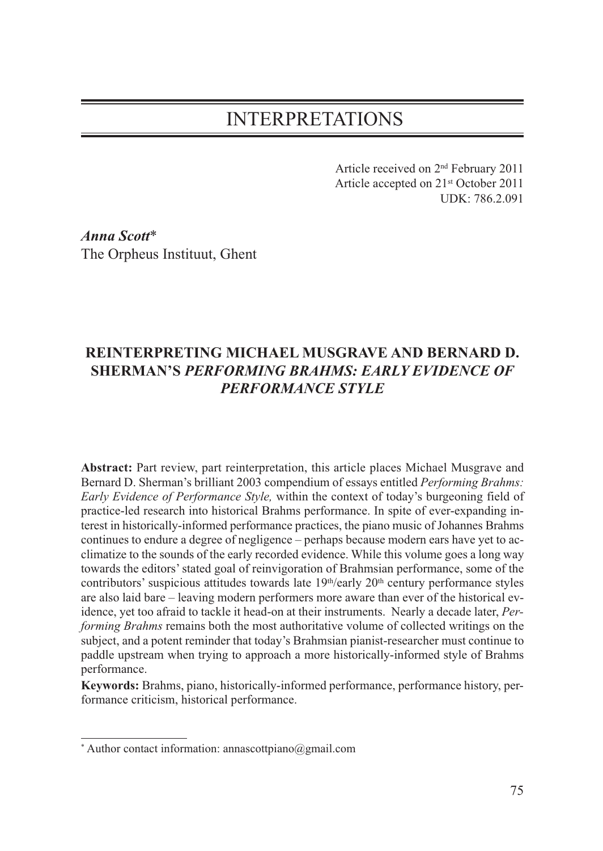## INTERPRETATIONS

Article received on 2nd February 2011 Article accepted on 21st October 2011 UDK: 786.2.091

*Anna Scott*\* The Orpheus Instituut, Ghent

## **REINTERPRETING MICHAEL MUSGRAVE AND BERNARD D. SHERMAN'S** *PERFORMING BRAHMS: EARLY EVIDENCE OF PERFORMANCE STYLE*

**Abstract:** Part review, part reinterpretation, this article places Michael Musgrave and Bernard D. Sherman's brilliant 2003 compendium of essays entitled *Performing Brahms: Early Evidence of Performance Style,* within the context of today's burgeoning field of practice-led research into historical Brahms performance. In spite of ever-expanding interest in historically-informed performance practices, the piano music of Johannes Brahms continues to endure a degree of negligence – perhaps because modern ears have yet to acclimatize to the sounds of the early recorded evidence. While this volume goes a long way towards the editors' stated goal of reinvigoration of Brahmsian performance, some of the contributors' suspicious attitudes towards late  $19<sup>th</sup>/early$  20<sup>th</sup> century performance styles are also laid bare – leaving modern performers more aware than ever of the historical evidence, yet too afraid to tackle it head-on at their instruments. Nearly a decade later, *Performing Brahms* remains both the most authoritative volume of collected writings on the subject, and a potent reminder that today's Brahmsian pianist-researcher must continue to paddle upstream when trying to approach a more historically-informed style of Brahms performance.

**Keywords:** Brahms, piano, historically-informed performance, performance history, performance criticism, historical performance.

<sup>\*</sup> Author contact information: annascottpiano@gmail.com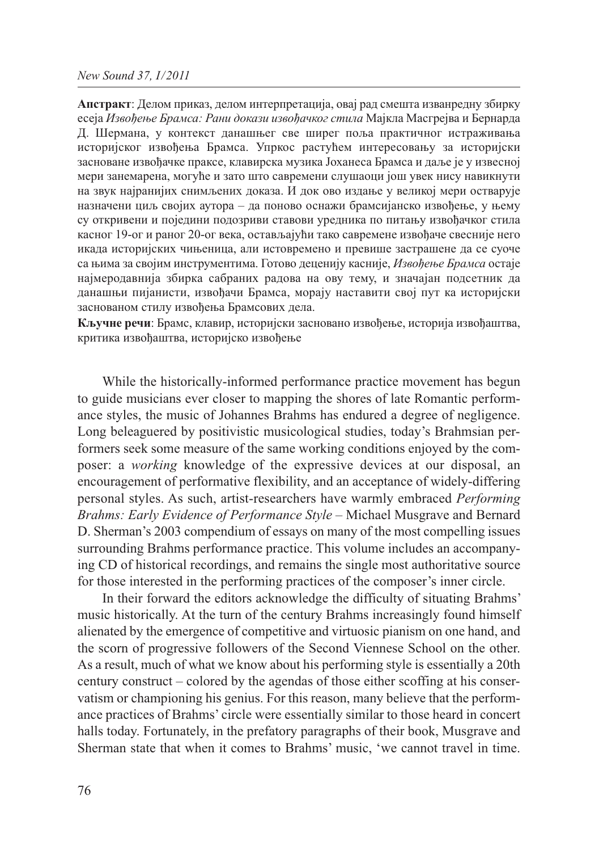**Апстракт**: Делом приказ, делом интерпретација, овај рад смешта изванредну збирку есеја *Извођење Брамса: Рани докази извођачког стила* Мајкла Масгрејва и Бернарда Д. Шермана, у контекст данашњег све ширег поља практичног истраживања историјског извођења Брамса. Упркос растућем интересовању за историјски засноване извођачке праксе, клавирска музика Јоханеса Брамса и даље је у извесној мери занемарена, могуће и зато што савремени слушаоци још увек нису навикнути на звук најранијих снимљених доказа. И док ово издање у великој мери остварује назначени циљ својих аутора – да поново оснажи брамсијанско извођење, у њему су откривени и поједини подозриви ставови уредника по питању извођачког стила касног 19-ог и раног 20-ог века, остављајући тако савремене извођаче свесније него икада историјских чињеница, али истовремено и превише застрашене да се суоче са њима за својим инструментима. Готово деценију касније, *Извођење Брамса* остаје најмеродавнија збирка сабраних радова на ову тему, и значајан подсетник да данашњи пијанисти, извођачи Брамса, морају наставити свој пут ка историјски заснованом стилу извођења Брамсових дела.

**Кључне речи**: Брамс, клавир, историјски засновано извођење, историја извођаштва, критика извођаштва, историјско извођење

While the historically-informed performance practice movement has begun to guide musicians ever closer to mapping the shores of late Romantic performance styles, the music of Johannes Brahms has endured a degree of negligence. Long beleaguered by positivistic musicological studies, today's Brahmsian performers seek some measure of the same working conditions enjoyed by the composer: a *working* knowledge of the expressive devices at our disposal, an encouragement of performative flexibility, and an acceptance of widely-differing personal styles. As such, artist-researchers have warmly embraced *Performing Brahms: Early Evidence of Performance Style* – Michael Musgrave and Bernard D. Sherman's 2003 compendium of essays on many of the most compelling issues surrounding Brahms performance practice. This volume includes an accompanying CD of historical recordings, and remains the single most authoritative source for those interested in the performing practices of the composer's inner circle.

In their forward the editors acknowledge the difficulty of situating Brahms' music historically. At the turn of the century Brahms increasingly found himself alienated by the emergence of competitive and virtuosic pianism on one hand, and the scorn of progressive followers of the Second Viennese School on the other. As a result, much of what we know about his performing style is essentially a 20th century construct – colored by the agendas of those either scoffing at his conservatism or championing his genius. For this reason, many believe that the performance practices of Brahms' circle were essentially similar to those heard in concert halls today. Fortunately, in the prefatory paragraphs of their book, Musgrave and Sherman state that when it comes to Brahms' music, 'we cannot travel in time.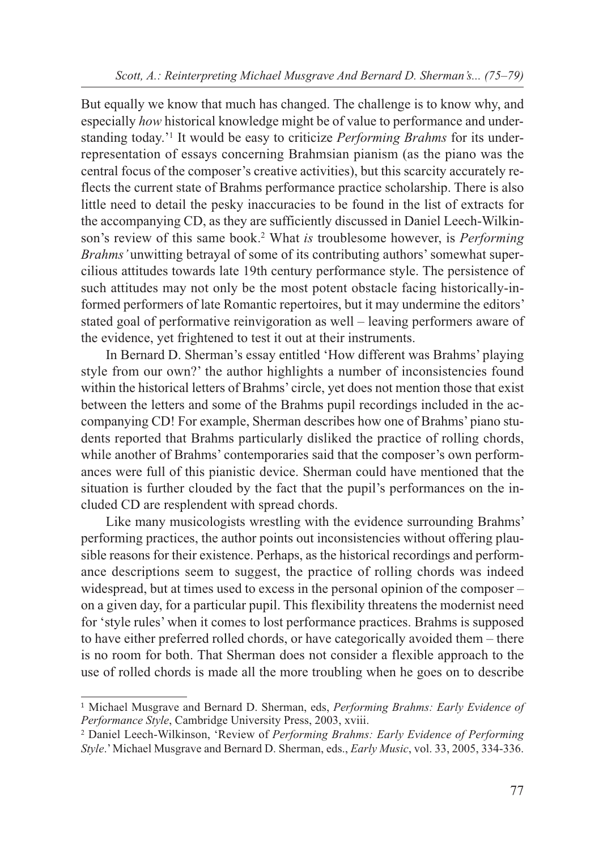But equally we know that much has changed. The challenge is to know why, and especially *how* historical knowledge might be of value to performance and understanding today.'1 It would be easy to criticize *Performing Brahms* for its underrepresentation of essays concerning Brahmsian pianism (as the piano was the central focus of the composer's creative activities), but this scarcity accurately reflects the current state of Brahms performance practice scholarship. There is also little need to detail the pesky inaccuracies to be found in the list of extracts for the accompanying CD, as they are sufficiently discussed in Daniel Leech-Wilkinson's review of this same book.2 What *is* troublesome however, is *Performing Brahms'* unwitting betrayal of some of its contributing authors' somewhat supercilious attitudes towards late 19th century performance style. The persistence of such attitudes may not only be the most potent obstacle facing historically-informed performers of late Romantic repertoires, but it may undermine the editors' stated goal of performative reinvigoration as well – leaving performers aware of the evidence, yet frightened to test it out at their instruments.

In Bernard D. Sherman's essay entitled 'How different was Brahms' playing style from our own?' the author highlights a number of inconsistencies found within the historical letters of Brahms' circle, yet does not mention those that exist between the letters and some of the Brahms pupil recordings included in the accompanying CD! For example, Sherman describes how one of Brahms' piano students reported that Brahms particularly disliked the practice of rolling chords, while another of Brahms' contemporaries said that the composer's own performances were full of this pianistic device. Sherman could have mentioned that the situation is further clouded by the fact that the pupil's performances on the included CD are resplendent with spread chords.

Like many musicologists wrestling with the evidence surrounding Brahms' performing practices, the author points out inconsistencies without offering plausible reasons for their existence. Perhaps, as the historical recordings and performance descriptions seem to suggest, the practice of rolling chords was indeed widespread, but at times used to excess in the personal opinion of the composer – on a given day, for a particular pupil. This flexibility threatens the modernist need for 'style rules' when it comes to lost performance practices. Brahms is supposed to have either preferred rolled chords, or have categorically avoided them – there is no room for both. That Sherman does not consider a flexible approach to the use of rolled chords is made all the more troubling when he goes on to describe

<sup>1</sup> Michael Musgrave and Bernard D. Sherman, eds, *Performing Brahms: Early Evidence of Performance Style*, Cambridge University Press, 2003, xviii.

<sup>2</sup> Daniel Leech-Wilkinson, 'Review of *Performing Brahms: Early Evidence of Performing Style*.' Michael Musgrave and Bernard D. Sherman, eds., *Early Music*, vol. 33, 2005, 334-336.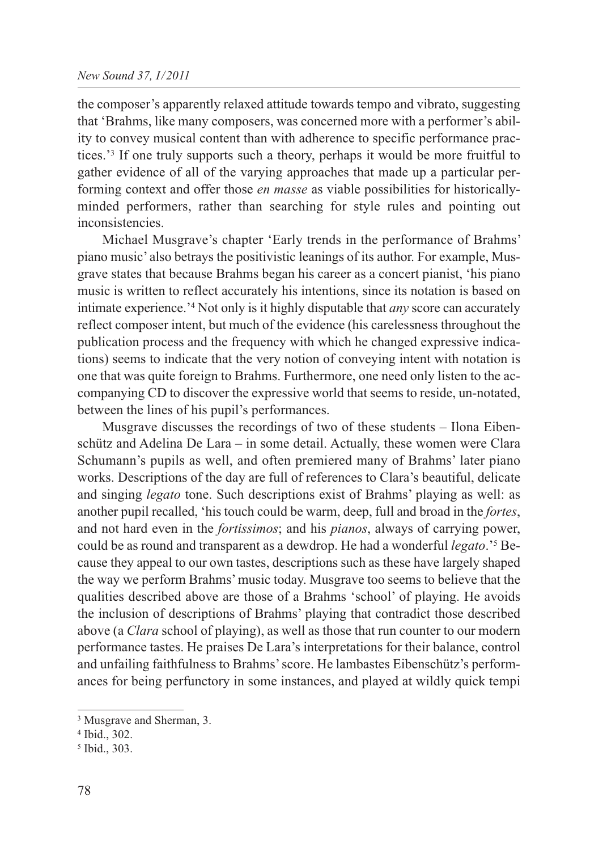the composer's apparently relaxed attitude towards tempo and vibrato, suggesting that 'Brahms, like many composers, was concerned more with a performer's ability to convey musical content than with adherence to specific performance practices.'3 If one truly supports such a theory, perhaps it would be more fruitful to gather evidence of all of the varying approaches that made up a particular performing context and offer those *en masse* as viable possibilities for historicallyminded performers, rather than searching for style rules and pointing out inconsistencies.

Michael Musgrave's chapter 'Early trends in the performance of Brahms' piano music' also betrays the positivistic leanings of its author. For example, Musgrave states that because Brahms began his career as a concert pianist, 'his piano music is written to reflect accurately his intentions, since its notation is based on intimate experience.'4 Not only is it highly disputable that *any* score can accurately reflect composer intent, but much of the evidence (his carelessness throughout the publication process and the frequency with which he changed expressive indications) seems to indicate that the very notion of conveying intent with notation is one that was quite foreign to Brahms. Furthermore, one need only listen to the accompanying CD to discover the expressive world that seems to reside, un-notated, between the lines of his pupil's performances.

Musgrave discusses the recordings of two of these students – Ilona Eibenschütz and Adelina De Lara – in some detail. Actually, these women were Clara Schumann's pupils as well, and often premiered many of Brahms' later piano works. Descriptions of the day are full of references to Clara's beautiful, delicate and singing *legato* tone. Such descriptions exist of Brahms' playing as well: as another pupil recalled, 'his touch could be warm, deep, full and broad in the *fortes*, and not hard even in the *fortissimos*; and his *pianos*, always of carrying power, could be as round and transparent as a dewdrop. He had a wonderful *legato*.'5 Because they appeal to our own tastes, descriptions such as these have largely shaped the way we perform Brahms' music today. Musgrave too seems to believe that the qualities described above are those of a Brahms 'school' of playing. He avoids the inclusion of descriptions of Brahms' playing that contradict those described above (a *Clara* school of playing), as well as those that run counter to our modern performance tastes. He praises De Lara's interpretations for their balance, control and unfailing faithfulness to Brahms' score. He lambastes Eibenschütz's performances for being perfunctory in some instances, and played at wildly quick tempi

<sup>3</sup> Musgrave and Sherman, 3.

<sup>4</sup> Ibid., 302.

<sup>5</sup> Ibid., 303.